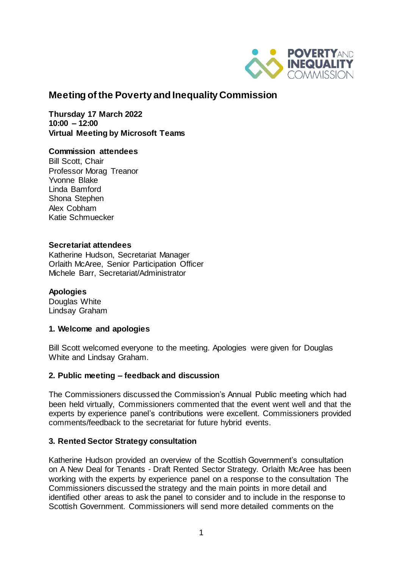

# **Meeting of the Poverty and Inequality Commission**

**Thursday 17 March 2022 10:00 – 12:00 Virtual Meeting by Microsoft Teams** 

#### **Commission attendees**

Bill Scott, Chair Professor Morag Treanor Yvonne Blake Linda Bamford Shona Stephen Alex Cobham Katie Schmuecker

#### **Secretariat attendees**

Katherine Hudson, Secretariat Manager Orlaith McAree, Senior Participation Officer Michele Barr, Secretariat/Administrator

### **Apologies**

Douglas White Lindsay Graham

#### **1. Welcome and apologies**

Bill Scott welcomed everyone to the meeting. Apologies were given for Douglas White and Lindsay Graham.

#### **2. Public meeting – feedback and discussion**

The Commissioners discussed the Commission's Annual Public meeting which had been held virtually, Commissioners commented that the event went well and that the experts by experience panel's contributions were excellent. Commissioners provided comments/feedback to the secretariat for future hybrid events.

### **3. Rented Sector Strategy consultation**

Katherine Hudson provided an overview of the Scottish Government's consultation on A New Deal for Tenants - Draft Rented Sector Strategy. Orlaith McAree has been working with the experts by experience panel on a response to the consultation The Commissioners discussed the strategy and the main points in more detail and identified other areas to ask the panel to consider and to include in the response to Scottish Government. Commissioners will send more detailed comments on the